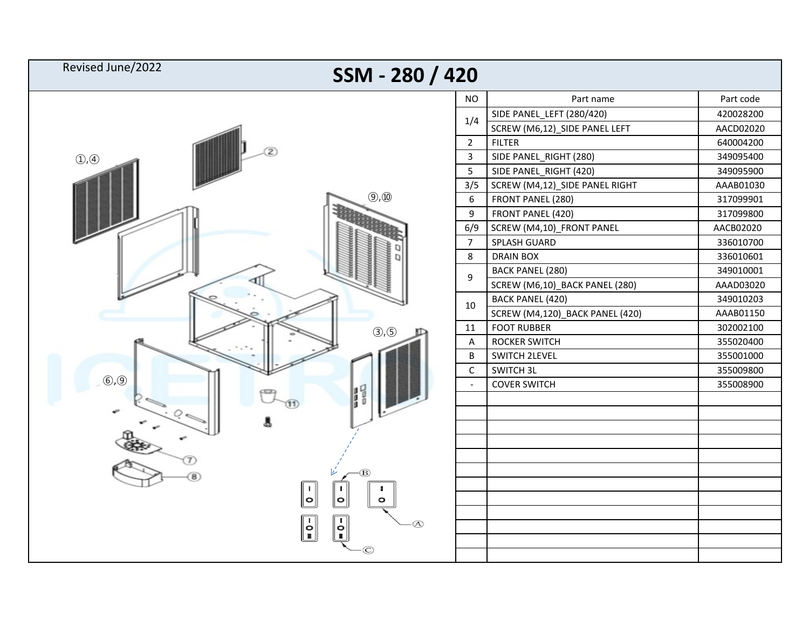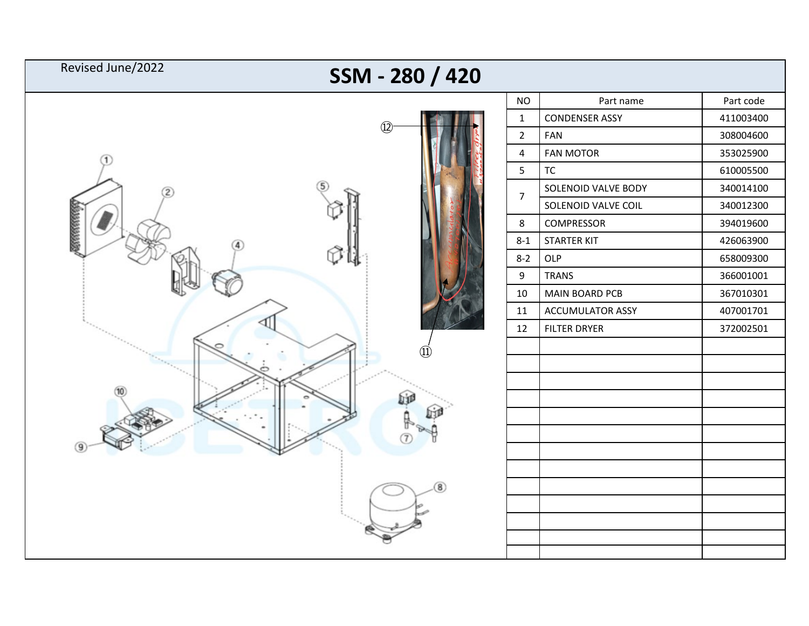